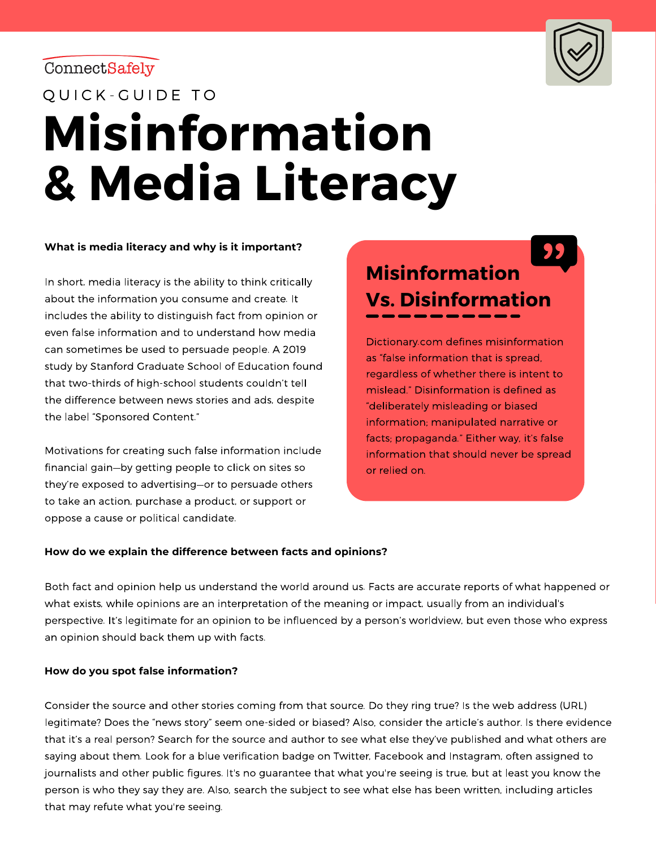ConnectSafely



QUICK-GUIDE TO

# **Misinformation & Media Literacy**

#### **What is media literacy and why is it important?**

In short, media literacy is the ability to think critically about the information you consume and create. It includes the ability to distinguish fact from opinion or even false information and to understand how media can sometimes be used to persuade people. A 2019 study by Stanford Graduate School of Education found that two-thirds of high-school students couldn't tell the difference between news stories and ads, despite the label "Sponsored Content."

Motivations for creating such false information include financial gain—by getting people to click on sites so they're exposed to advertising—or to persuade others to take an action, purchase a product, or support or oppose a cause or political candidate.

# **Misinformation Vs. Disinformation**

Dictionary.com defines misinformation as "false information that is spread, regardless of whether there is intent to mislead." Disinformation is defined as "deliberately misleading or biased information; manipulated narrative or facts; propaganda." Either way, it's false information that should never be spread or relied on.

#### **How do we explain the difference between facts and opinions?**

Both fact and opinion help us understand the world around us. Facts are accurate reports of what happened or what exists, while opinions are an interpretation of the meaning or impact, usually from an individual's perspective. It's legitimate for an opinion to be influenced by a person's worldview, but even those who express an opinion should back them up with facts.

#### **How do you spot false information?**

Consider the source and other stories coming from that source. Do they ring true? Is the web address (URL) legitimate? Does the "news story" seem one-sided or biased? Also, consider the article's author. Is there evidence that it's a real person? Search for the source and author to see what else they've published and what others are saying about them. Look for a blue verification badge on Twitter, Facebook and Instagram, often assigned to journalists and other public figures. It's no guarantee that what you're seeing is true, but at least you know the person is who they say they are. Also, search the subject to see what else has been written, including articles that may refute what you're seeing.